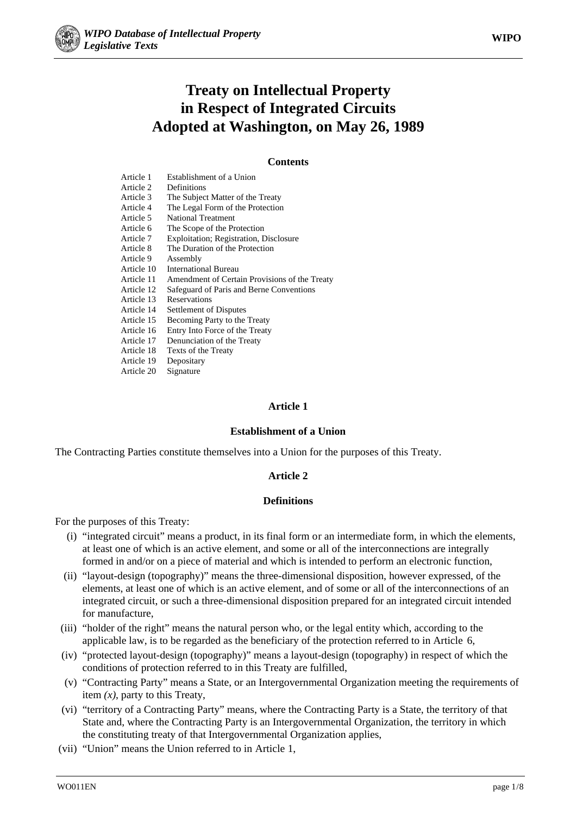# **Treaty on Intellectual Property in Respect of Integrated Circuits Adopted at Washington, on May 26, 1989**

## **Contents**

| Article 1  | Establishment of a Union                       |
|------------|------------------------------------------------|
| Article 2  | Definitions                                    |
| Article 3  | The Subject Matter of the Treaty               |
| Article 4  | The Legal Form of the Protection               |
| Article 5  | National Treatment                             |
| Article 6  | The Scope of the Protection                    |
| Article 7  | <b>Exploitation</b> ; Registration, Disclosure |
| Article 8  | The Duration of the Protection                 |
| Article 9  | Assembly                                       |
| Article 10 | International Bureau                           |
| Article 11 | Amendment of Certain Provisions of the Treaty  |
| Article 12 | Safeguard of Paris and Berne Conventions       |
| Article 13 | <b>Reservations</b>                            |
| Article 14 | Settlement of Disputes                         |
| Article 15 | Becoming Party to the Treaty                   |
| Article 16 | Entry Into Force of the Treaty                 |
| Article 17 | Denunciation of the Treaty                     |
| Article 18 | Texts of the Treaty                            |
| Article 19 | Depositary                                     |
| Article 20 | Signature                                      |

## **Article 1**

## **Establishment of a Union**

The Contracting Parties constitute themselves into a Union for the purposes of this Treaty.

## **Article 2**

## **Definitions**

For the purposes of this Treaty:

- (i) "integrated circuit" means a product, in its final form or an intermediate form, in which the elements, at least one of which is an active element, and some or all of the interconnections are integrally formed in and/or on a piece of material and which is intended to perform an electronic function,
- (ii) "layout-design (topography)" means the three-dimensional disposition, however expressed, of the elements, at least one of which is an active element, and of some or all of the interconnections of an integrated circuit, or such a three-dimensional disposition prepared for an integrated circuit intended for manufacture,
- (iii) "holder of the right" means the natural person who, or the legal entity which, according to the applicable law, is to be regarded as the beneficiary of the protection referred to in Article 6,
- (iv) "protected layout-design (topography)" means a layout-design (topography) in respect of which the conditions of protection referred to in this Treaty are fulfilled,
- (v) "Contracting Party" means a State, or an Intergovernmental Organization meeting the requirements of item *(x)*, party to this Treaty,
- (vi) "territory of a Contracting Party" means, where the Contracting Party is a State, the territory of that State and, where the Contracting Party is an Intergovernmental Organization, the territory in which the constituting treaty of that Intergovernmental Organization applies,
- (vii) "Union" means the Union referred to in Article 1,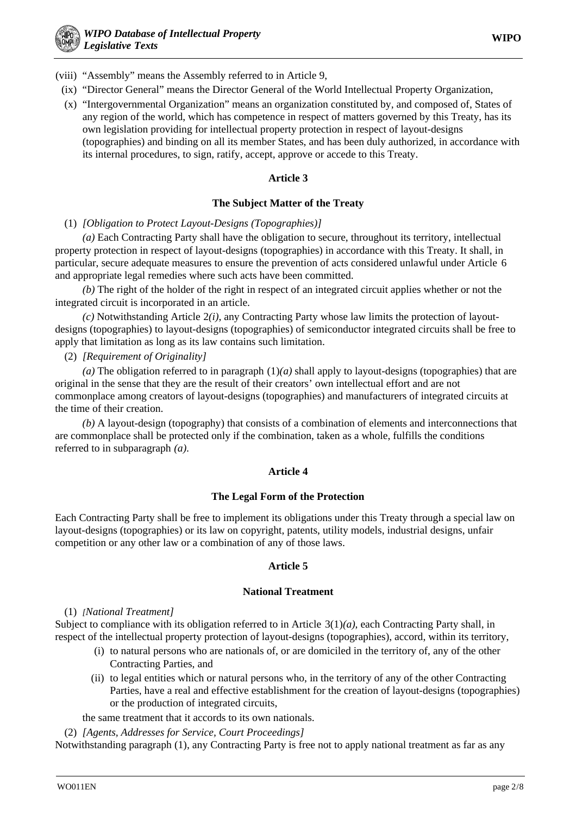

- (viii) "Assembly" means the Assembly referred to in Article 9,
	- (ix) "Director General" means the Director General of the World Intellectual Property Organization,
	- (x) "Intergovernmental Organization" means an organization constituted by, and composed of, States of any region of the world, which has competence in respect of matters governed by this Treaty, has its own legislation providing for intellectual property protection in respect of layout-designs (topographies) and binding on all its member States, and has been duly authorized, in accordance with its internal procedures, to sign, ratify, accept, approve or accede to this Treaty.

## **Article 3**

## **The Subject Matter of the Treaty**

## (1) *[Obligation to Protect Layout-Designs (Topographies)]*

*(a)* Each Contracting Party shall have the obligation to secure, throughout its territory, intellectual property protection in respect of layout-designs (topographies) in accordance with this Treaty. It shall, in particular, secure adequate measures to ensure the prevention of acts considered unlawful under Article 6 and appropriate legal remedies where such acts have been committed.

*(b)* The right of the holder of the right in respect of an integrated circuit applies whether or not the integrated circuit is incorporated in an article.

*(c)* Notwithstanding Article 2*(i)*, any Contracting Party whose law limits the protection of layoutdesigns (topographies) to layout-designs (topographies) of semiconductor integrated circuits shall be free to apply that limitation as long as its law contains such limitation.

(2) *[Requirement of Originality]*

*(a)* The obligation referred to in paragraph (1)*(a)* shall apply to layout-designs (topographies) that are original in the sense that they are the result of their creators' own intellectual effort and are not commonplace among creators of layout-designs (topographies) and manufacturers of integrated circuits at the time of their creation.

*(b)* A layout-design (topography) that consists of a combination of elements and interconnections that are commonplace shall be protected only if the combination, taken as a whole, fulfills the conditions referred to in subparagraph *(a)*.

## **Article 4**

## **The Legal Form of the Protection**

Each Contracting Party shall be free to implement its obligations under this Treaty through a special law on layout-designs (topographies) or its law on copyright, patents, utility models, industrial designs, unfair competition or any other law or a combination of any of those laws.

# **Article 5**

## **National Treatment**

## (1) *[National Treatment]*

Subject to compliance with its obligation referred to in Article 3(1)*(a)*, each Contracting Party shall, in respect of the intellectual property protection of layout-designs (topographies), accord, within its territory,

- (i) to natural persons who are nationals of, or are domiciled in the territory of, any of the other Contracting Parties, and
- (ii) to legal entities which or natural persons who, in the territory of any of the other Contracting Parties, have a real and effective establishment for the creation of layout-designs (topographies) or the production of integrated circuits,

the same treatment that it accords to its own nationals.

(2) *[Agents, Addresses for Service, Court Proceedings]*

Notwithstanding paragraph (1), any Contracting Party is free not to apply national treatment as far as any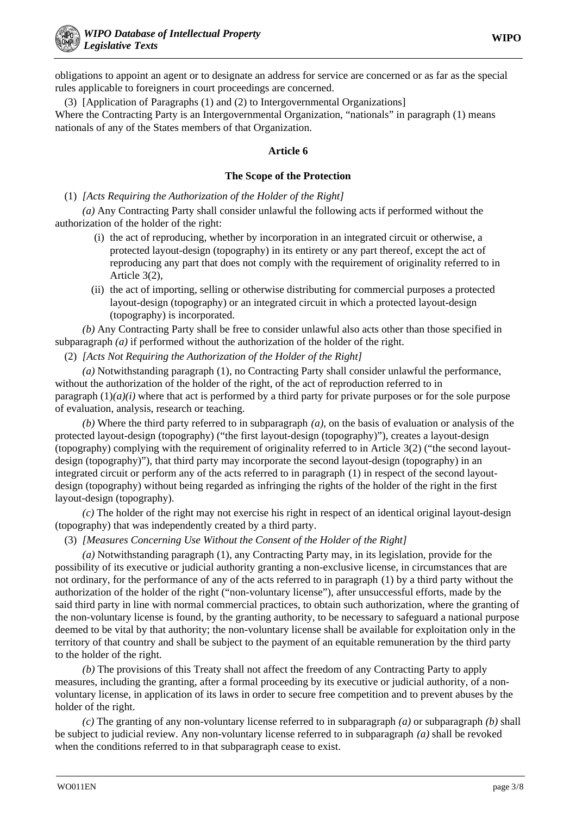obligations to appoint an agent or to designate an address for service are concerned or as far as the special rules applicable to foreigners in court proceedings are concerned.

(3) [Application of Paragraphs (1) and (2) to Intergovernmental Organizations] Where the Contracting Party is an Intergovernmental Organization, "nationals" in paragraph (1) means nationals of any of the States members of that Organization.

# **Article 6**

# **The Scope of the Protection**

# (1) *[Acts Requiring the Authorization of the Holder of the Right]*

*(a)* Any Contracting Party shall consider unlawful the following acts if performed without the authorization of the holder of the right:

- (i) the act of reproducing, whether by incorporation in an integrated circuit or otherwise, a protected layout-design (topography) in its entirety or any part thereof, except the act of reproducing any part that does not comply with the requirement of originality referred to in Article 3(2),
- (ii) the act of importing, selling or otherwise distributing for commercial purposes a protected layout-design (topography) or an integrated circuit in which a protected layout-design (topography) is incorporated.

*(b)* Any Contracting Party shall be free to consider unlawful also acts other than those specified in subparagraph *(a)* if performed without the authorization of the holder of the right.

(2) *[Acts Not Requiring the Authorization of the Holder of the Right]*

*(a)* Notwithstanding paragraph (1), no Contracting Party shall consider unlawful the performance, without the authorization of the holder of the right, of the act of reproduction referred to in paragraph  $(1)(a)(i)$  where that act is performed by a third party for private purposes or for the sole purpose of evaluation, analysis, research or teaching.

*(b)* Where the third party referred to in subparagraph *(a)*, on the basis of evaluation or analysis of the protected layout-design (topography) ("the first layout-design (topography)"), creates a layout-design (topography) complying with the requirement of originality referred to in Article 3(2) ("the second layoutdesign (topography)"), that third party may incorporate the second layout-design (topography) in an integrated circuit or perform any of the acts referred to in paragraph (1) in respect of the second layoutdesign (topography) without being regarded as infringing the rights of the holder of the right in the first layout-design (topography).

*(c)* The holder of the right may not exercise his right in respect of an identical original layout-design (topography) that was independently created by a third party.

# (3) *[Measures Concerning Use Without the Consent of the Holder of the Right]*

*(a)* Notwithstanding paragraph (1), any Contracting Party may, in its legislation, provide for the possibility of its executive or judicial authority granting a non-exclusive license, in circumstances that are not ordinary, for the performance of any of the acts referred to in paragraph (1) by a third party without the authorization of the holder of the right ("non-voluntary license"), after unsuccessful efforts, made by the said third party in line with normal commercial practices, to obtain such authorization, where the granting of the non-voluntary license is found, by the granting authority, to be necessary to safeguard a national purpose deemed to be vital by that authority; the non-voluntary license shall be available for exploitation only in the territory of that country and shall be subject to the payment of an equitable remuneration by the third party to the holder of the right.

*(b)* The provisions of this Treaty shall not affect the freedom of any Contracting Party to apply measures, including the granting, after a formal proceeding by its executive or judicial authority, of a nonvoluntary license, in application of its laws in order to secure free competition and to prevent abuses by the holder of the right.

*(c)* The granting of any non-voluntary license referred to in subparagraph *(a)* or subparagraph *(b)* shall be subject to judicial review. Any non-voluntary license referred to in subparagraph *(a)* shall be revoked when the conditions referred to in that subparagraph cease to exist.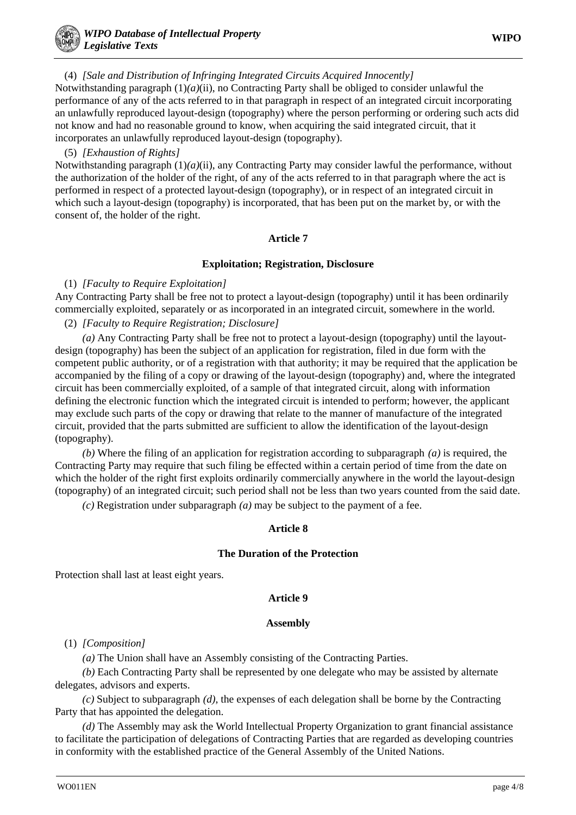# (4) *[Sale and Distribution of Infringing Integrated Circuits Acquired Innocently]*

Notwithstanding paragraph (1)*(a)*(ii), no Contracting Party shall be obliged to consider unlawful the performance of any of the acts referred to in that paragraph in respect of an integrated circuit incorporating an unlawfully reproduced layout-design (topography) where the person performing or ordering such acts did not know and had no reasonable ground to know, when acquiring the said integrated circuit, that it incorporates an unlawfully reproduced layout-design (topography).

## (5) *[Exhaustion of Rights]*

Notwithstanding paragraph (1)*(a)*(ii), any Contracting Party may consider lawful the performance, without the authorization of the holder of the right, of any of the acts referred to in that paragraph where the act is performed in respect of a protected layout-design (topography), or in respect of an integrated circuit in which such a layout-design (topography) is incorporated, that has been put on the market by, or with the consent of, the holder of the right.

## **Article 7**

## **Exploitation; Registration, Disclosure**

## (1) *[Faculty to Require Exploitation]*

Any Contracting Party shall be free not to protect a layout-design (topography) until it has been ordinarily commercially exploited, separately or as incorporated in an integrated circuit, somewhere in the world.

## (2) *[Faculty to Require Registration; Disclosure]*

*(a)* Any Contracting Party shall be free not to protect a layout-design (topography) until the layoutdesign (topography) has been the subject of an application for registration, filed in due form with the competent public authority, or of a registration with that authority; it may be required that the application be accompanied by the filing of a copy or drawing of the layout-design (topography) and, where the integrated circuit has been commercially exploited, of a sample of that integrated circuit, along with information defining the electronic function which the integrated circuit is intended to perform; however, the applicant may exclude such parts of the copy or drawing that relate to the manner of manufacture of the integrated circuit, provided that the parts submitted are sufficient to allow the identification of the layout-design (topography).

*(b)* Where the filing of an application for registration according to subparagraph *(a)* is required, the Contracting Party may require that such filing be effected within a certain period of time from the date on which the holder of the right first exploits ordinarily commercially anywhere in the world the layout-design (topography) of an integrated circuit; such period shall not be less than two years counted from the said date.

*(c)* Registration under subparagraph *(a)* may be subject to the payment of a fee.

## **Article 8**

## **The Duration of the Protection**

Protection shall last at least eight years.

## **Article 9**

## **Assembly**

## (1) *[Composition]*

*(a)* The Union shall have an Assembly consisting of the Contracting Parties.

*(b)* Each Contracting Party shall be represented by one delegate who may be assisted by alternate delegates, advisors and experts.

*(c)* Subject to subparagraph *(d)*, the expenses of each delegation shall be borne by the Contracting Party that has appointed the delegation.

*(d)* The Assembly may ask the World Intellectual Property Organization to grant financial assistance to facilitate the participation of delegations of Contracting Parties that are regarded as developing countries in conformity with the established practice of the General Assembly of the United Nations.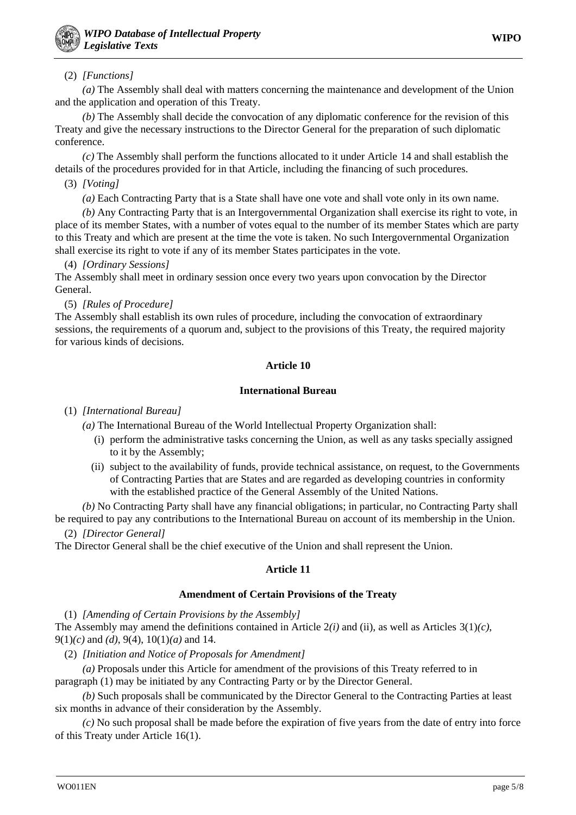# (2) *[Functions]*

*(a)* The Assembly shall deal with matters concerning the maintenance and development of the Union and the application and operation of this Treaty.

*(b)* The Assembly shall decide the convocation of any diplomatic conference for the revision of this Treaty and give the necessary instructions to the Director General for the preparation of such diplomatic conference.

*(c)* The Assembly shall perform the functions allocated to it under Article 14 and shall establish the details of the procedures provided for in that Article, including the financing of such procedures.

(3) *[Voting]*

*(a)* Each Contracting Party that is a State shall have one vote and shall vote only in its own name.

*(b)* Any Contracting Party that is an Intergovernmental Organization shall exercise its right to vote, in place of its member States, with a number of votes equal to the number of its member States which are party to this Treaty and which are present at the time the vote is taken. No such Intergovernmental Organization shall exercise its right to vote if any of its member States participates in the vote.

## (4) *[Ordinary Sessions]*

The Assembly shall meet in ordinary session once every two years upon convocation by the Director General.

# (5) *[Rules of Procedure]*

The Assembly shall establish its own rules of procedure, including the convocation of extraordinary sessions, the requirements of a quorum and, subject to the provisions of this Treaty, the required majority for various kinds of decisions.

# **Article 10**

## **International Bureau**

## (1) *[International Bureau]*

*(a)* The International Bureau of the World Intellectual Property Organization shall:

- (i) perform the administrative tasks concerning the Union, as well as any tasks specially assigned to it by the Assembly;
- (ii) subject to the availability of funds, provide technical assistance, on request, to the Governments of Contracting Parties that are States and are regarded as developing countries in conformity with the established practice of the General Assembly of the United Nations.

*(b)* No Contracting Party shall have any financial obligations; in particular, no Contracting Party shall be required to pay any contributions to the International Bureau on account of its membership in the Union.

(2) *[Director General]*

The Director General shall be the chief executive of the Union and shall represent the Union.

# **Article 11**

# **Amendment of Certain Provisions of the Treaty**

(1) *[Amending of Certain Provisions by the Assembly]* The Assembly may amend the definitions contained in Article 2*(i)* and (ii), as well as Articles 3(1)*(c)*, 9(1)*(c)* and *(d)*, 9(4), 10(1)*(a)* and 14.

(2) *[Initiation and Notice of Proposals for Amendment]*

*(a)* Proposals under this Article for amendment of the provisions of this Treaty referred to in paragraph (1) may be initiated by any Contracting Party or by the Director General.

*(b)* Such proposals shall be communicated by the Director General to the Contracting Parties at least six months in advance of their consideration by the Assembly.

*(c)* No such proposal shall be made before the expiration of five years from the date of entry into force of this Treaty under Article 16(1).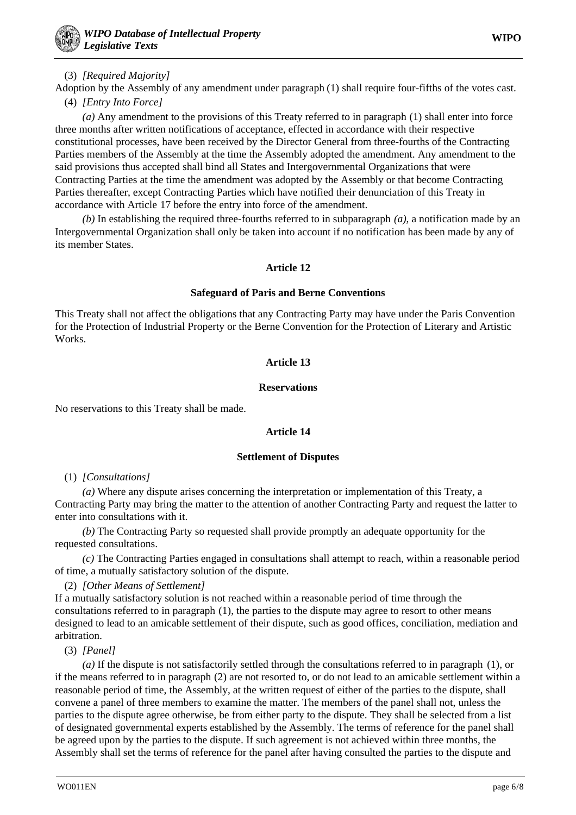## (3) *[Required Majority]*

Adoption by the Assembly of any amendment under paragraph (1) shall require four-fifths of the votes cast.

## (4) *[Entry Into Force]*

*(a)* Any amendment to the provisions of this Treaty referred to in paragraph (1) shall enter into force three months after written notifications of acceptance, effected in accordance with their respective constitutional processes, have been received by the Director General from three-fourths of the Contracting Parties members of the Assembly at the time the Assembly adopted the amendment. Any amendment to the said provisions thus accepted shall bind all States and Intergovernmental Organizations that were Contracting Parties at the time the amendment was adopted by the Assembly or that become Contracting Parties thereafter, except Contracting Parties which have notified their denunciation of this Treaty in accordance with Article 17 before the entry into force of the amendment.

*(b)* In establishing the required three-fourths referred to in subparagraph *(a)*, a notification made by an Intergovernmental Organization shall only be taken into account if no notification has been made by any of its member States.

## **Article 12**

## **Safeguard of Paris and Berne Conventions**

This Treaty shall not affect the obligations that any Contracting Party may have under the Paris Convention for the Protection of Industrial Property or the Berne Convention for the Protection of Literary and Artistic Works.

## **Article 13**

## **Reservations**

No reservations to this Treaty shall be made.

## **Article 14**

## **Settlement of Disputes**

## (1) *[Consultations]*

*(a)* Where any dispute arises concerning the interpretation or implementation of this Treaty, a Contracting Party may bring the matter to the attention of another Contracting Party and request the latter to enter into consultations with it.

*(b)* The Contracting Party so requested shall provide promptly an adequate opportunity for the requested consultations.

*(c)* The Contracting Parties engaged in consultations shall attempt to reach, within a reasonable period of time, a mutually satisfactory solution of the dispute.

(2) *[Other Means of Settlement]*

If a mutually satisfactory solution is not reached within a reasonable period of time through the consultations referred to in paragraph (1), the parties to the dispute may agree to resort to other means designed to lead to an amicable settlement of their dispute, such as good offices, conciliation, mediation and arbitration.

## (3) *[Panel]*

*(a)* If the dispute is not satisfactorily settled through the consultations referred to in paragraph (1), or if the means referred to in paragraph (2) are not resorted to, or do not lead to an amicable settlement within a reasonable period of time, the Assembly, at the written request of either of the parties to the dispute, shall convene a panel of three members to examine the matter. The members of the panel shall not, unless the parties to the dispute agree otherwise, be from either party to the dispute. They shall be selected from a list of designated governmental experts established by the Assembly. The terms of reference for the panel shall be agreed upon by the parties to the dispute. If such agreement is not achieved within three months, the Assembly shall set the terms of reference for the panel after having consulted the parties to the dispute and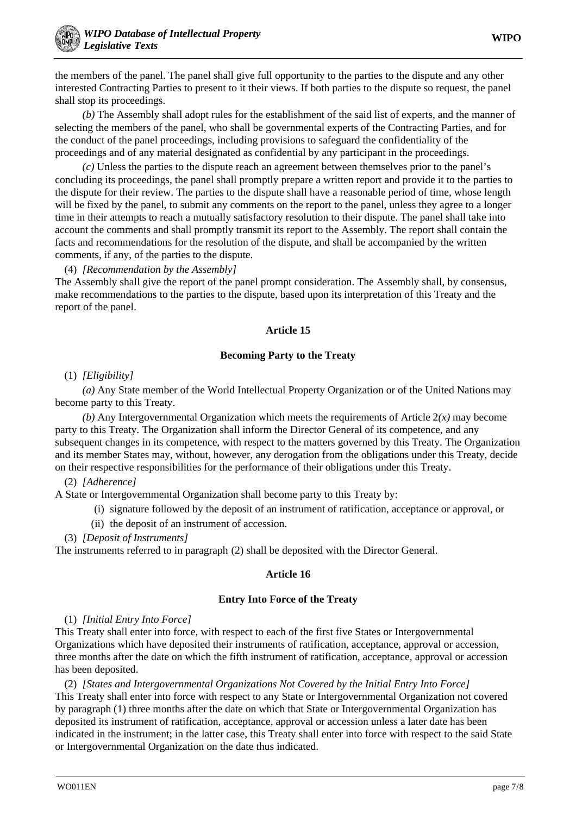the members of the panel. The panel shall give full opportunity to the parties to the dispute and any other interested Contracting Parties to present to it their views. If both parties to the dispute so request, the panel shall stop its proceedings.

*(b)* The Assembly shall adopt rules for the establishment of the said list of experts, and the manner of selecting the members of the panel, who shall be governmental experts of the Contracting Parties, and for the conduct of the panel proceedings, including provisions to safeguard the confidentiality of the proceedings and of any material designated as confidential by any participant in the proceedings.

*(c)* Unless the parties to the dispute reach an agreement between themselves prior to the panel's concluding its proceedings, the panel shall promptly prepare a written report and provide it to the parties to the dispute for their review. The parties to the dispute shall have a reasonable period of time, whose length will be fixed by the panel, to submit any comments on the report to the panel, unless they agree to a longer time in their attempts to reach a mutually satisfactory resolution to their dispute. The panel shall take into account the comments and shall promptly transmit its report to the Assembly. The report shall contain the facts and recommendations for the resolution of the dispute, and shall be accompanied by the written comments, if any, of the parties to the dispute.

## (4) *[Recommendation by the Assembly]*

The Assembly shall give the report of the panel prompt consideration. The Assembly shall, by consensus, make recommendations to the parties to the dispute, based upon its interpretation of this Treaty and the report of the panel.

## **Article 15**

#### **Becoming Party to the Treaty**

#### (1) *[Eligibility]*

*(a)* Any State member of the World Intellectual Property Organization or of the United Nations may become party to this Treaty.

*(b)* Any Intergovernmental Organization which meets the requirements of Article 2*(x)* may become party to this Treaty. The Organization shall inform the Director General of its competence, and any subsequent changes in its competence, with respect to the matters governed by this Treaty. The Organization and its member States may, without, however, any derogation from the obligations under this Treaty, decide on their respective responsibilities for the performance of their obligations under this Treaty.

## (2) *[Adherence]*

A State or Intergovernmental Organization shall become party to this Treaty by:

- (i) signature followed by the deposit of an instrument of ratification, acceptance or approval, or
- (ii) the deposit of an instrument of accession.

## (3) *[Deposit of Instruments]*

The instruments referred to in paragraph (2) shall be deposited with the Director General.

## **Article 16**

## **Entry Into Force of the Treaty**

## (1) *[Initial Entry Into Force]*

This Treaty shall enter into force, with respect to each of the first five States or Intergovernmental Organizations which have deposited their instruments of ratification, acceptance, approval or accession, three months after the date on which the fifth instrument of ratification, acceptance, approval or accession has been deposited.

(2) *[States and Intergovernmental Organizations Not Covered by the Initial Entry Into Force]* This Treaty shall enter into force with respect to any State or Intergovernmental Organization not covered by paragraph (1) three months after the date on which that State or Intergovernmental Organization has deposited its instrument of ratification, acceptance, approval or accession unless a later date has been indicated in the instrument; in the latter case, this Treaty shall enter into force with respect to the said State or Intergovernmental Organization on the date thus indicated.